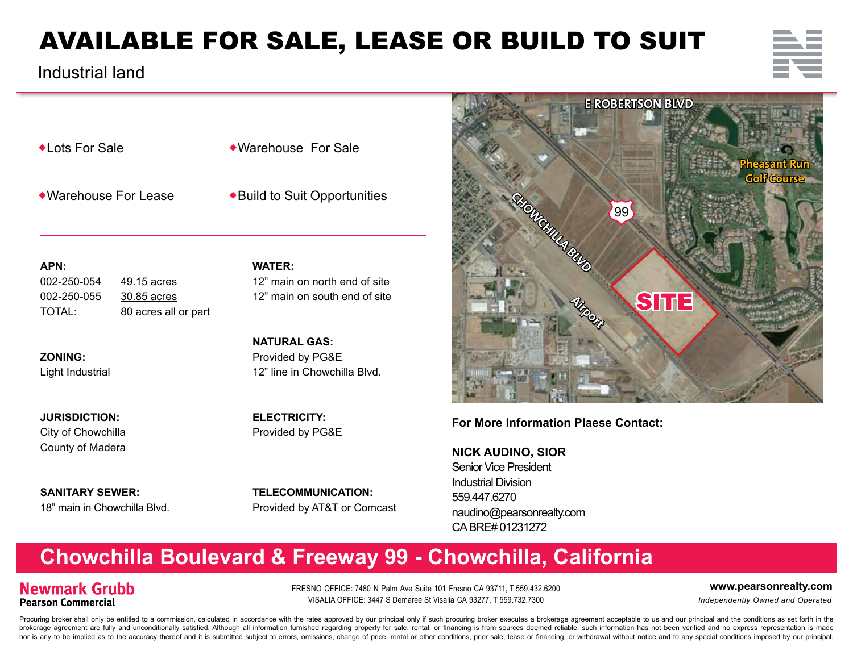# AVAILABLE FOR SALE, LEASE OR BUILD TO SUIT

 $\bullet$ Lots For Sale

Industrial land

Warehouse For Sale

**WATER:**

Warehouse For Lease

Build to Suit Opportunities

**APN:**

002-250-054 49.15 acres 002-250-055 30.85 acres TOTAL: 80 acres all or part

**ZONING:**  Light Industrial

**JURISDICTION:** City of Chowchilla County of Madera

**SANITARY SEWER:** 18" main in Chowchilla Blvd. 12" main on north end of site 12" main on south end of site

**NATURAL GAS:** Provided by PG&E 12" line in Chowchilla Blvd.

**ELECTRICITY:** Provided by PG&E

**TELECOMMUNICATION:**  Provided by AT&T or Comcast



## **For More Information Plaese Contact:**

**NICK AUDINO, SIOR** Senior Vice President Industrial Division 559.447.6270 naudino@pearsonrealty.com CA BRE# 01231272

## **Chowchilla Boulevard & Freeway 99 - Chowchilla, California**

## **Newmark Grubb Pearson Commercial**

FRESNO OFFICE: 7480 N Palm Ave Suite 101 Fresno CA 93711, T 559.432.6200 **www.pearsonrealty.com** VISALIA OFFICE: 3447 S Demaree St Visalia CA 93277, T 559.732.7300 *Independently Owned and Operated*

Procuring broker shall only be entitled to a commission, calculated in accordance with the rates approved by our principal only if such procuring broker executes a brokerage agreement acceptable to us and our principal and brokerage agreement are fully and unconditionally satisfied. Although all information furnished regarding property for sale, rental, or financing is from sources deemed reliable, such information has not been verified and nor is any to be implied as to the accuracy thereof and it is submitted subiect to errors, omissions, change of price, rental or other conditions, prior sale, lease or financing, or withdrawal without notice and to any spe